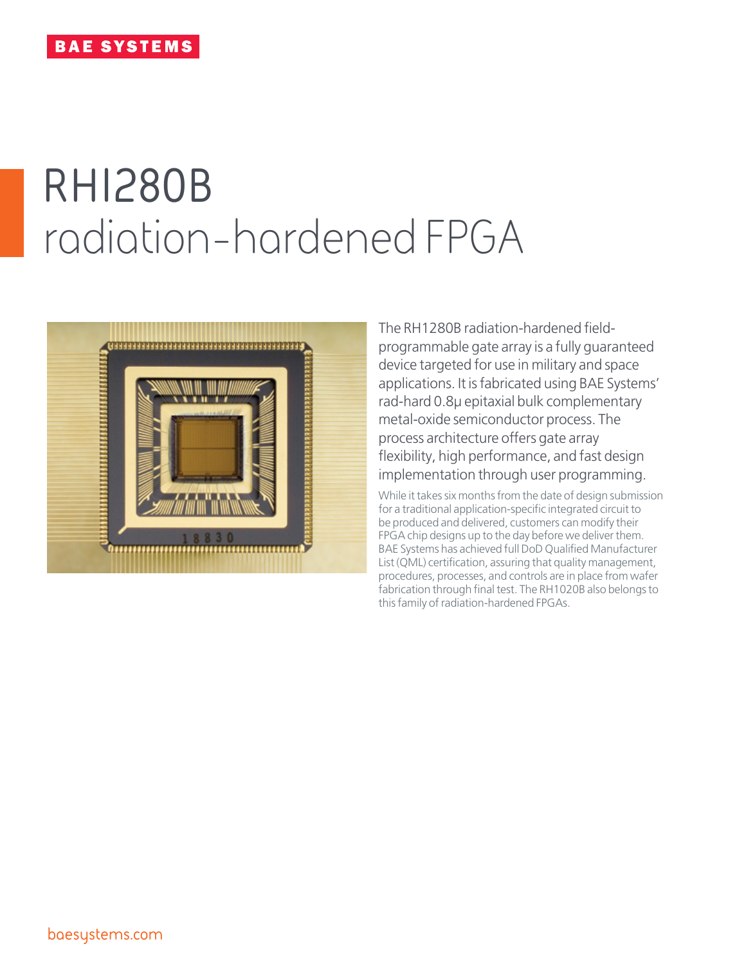# **RH1280B** radiation-hardened FPGA



The RH1280B radiation-hardened fieldprogrammable gate array is a fully guaranteed device targeted for use in military and space applications. It is fabricated using BAE Systems' rad-hard 0.8µ epitaxial bulk complementary metal-oxide semiconductor process. The process architecture offers gate array flexibility, high performance, and fast design implementation through user programming.

While it takes six months from the date of design submission for a traditional application-specific integrated circuit to be produced and delivered, customers can modify their FPGA chip designs up to the day before we deliver them. BAE Systems has achieved full DoD Qualified Manufacturer List (QML) certification, assuring that quality management, procedures, processes, and controls are in place from wafer fabrication through final test. The RH1020B also belongs to this family of radiation-hardened FPGAs.